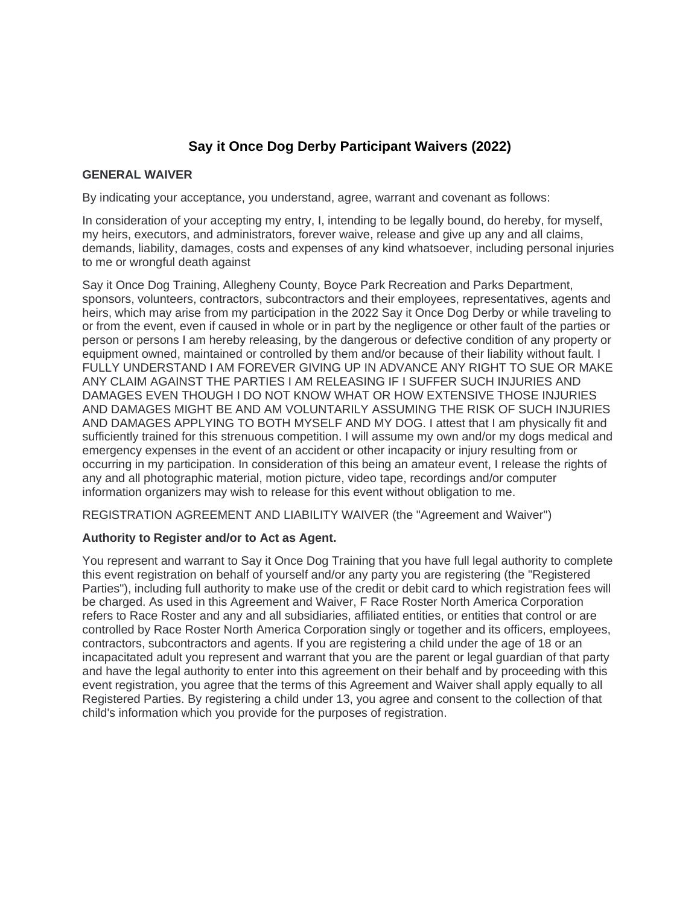# **Say it Once Dog Derby Participant Waivers (2022)**

#### **GENERAL WAIVER**

By indicating your acceptance, you understand, agree, warrant and covenant as follows:

In consideration of your accepting my entry, I, intending to be legally bound, do hereby, for myself, my heirs, executors, and administrators, forever waive, release and give up any and all claims, demands, liability, damages, costs and expenses of any kind whatsoever, including personal injuries to me or wrongful death against

Say it Once Dog Training, Allegheny County, Boyce Park Recreation and Parks Department, sponsors, volunteers, contractors, subcontractors and their employees, representatives, agents and heirs, which may arise from my participation in the 2022 Say it Once Dog Derby or while traveling to or from the event, even if caused in whole or in part by the negligence or other fault of the parties or person or persons I am hereby releasing, by the dangerous or defective condition of any property or equipment owned, maintained or controlled by them and/or because of their liability without fault. I FULLY UNDERSTAND I AM FOREVER GIVING UP IN ADVANCE ANY RIGHT TO SUE OR MAKE ANY CLAIM AGAINST THE PARTIES I AM RELEASING IF I SUFFER SUCH INJURIES AND DAMAGES EVEN THOUGH I DO NOT KNOW WHAT OR HOW EXTENSIVE THOSE INJURIES AND DAMAGES MIGHT BE AND AM VOLUNTARILY ASSUMING THE RISK OF SUCH INJURIES AND DAMAGES APPLYING TO BOTH MYSELF AND MY DOG. I attest that I am physically fit and sufficiently trained for this strenuous competition. I will assume my own and/or my dogs medical and emergency expenses in the event of an accident or other incapacity or injury resulting from or occurring in my participation. In consideration of this being an amateur event, I release the rights of any and all photographic material, motion picture, video tape, recordings and/or computer information organizers may wish to release for this event without obligation to me.

REGISTRATION AGREEMENT AND LIABILITY WAIVER (the "Agreement and Waiver")

# **Authority to Register and/or to Act as Agent.**

You represent and warrant to Say it Once Dog Training that you have full legal authority to complete this event registration on behalf of yourself and/or any party you are registering (the "Registered Parties"), including full authority to make use of the credit or debit card to which registration fees will be charged. As used in this Agreement and Waiver, F Race Roster North America Corporation refers to Race Roster and any and all subsidiaries, affiliated entities, or entities that control or are controlled by Race Roster North America Corporation singly or together and its officers, employees, contractors, subcontractors and agents. If you are registering a child under the age of 18 or an incapacitated adult you represent and warrant that you are the parent or legal guardian of that party and have the legal authority to enter into this agreement on their behalf and by proceeding with this event registration, you agree that the terms of this Agreement and Waiver shall apply equally to all Registered Parties. By registering a child under 13, you agree and consent to the collection of that child's information which you provide for the purposes of registration.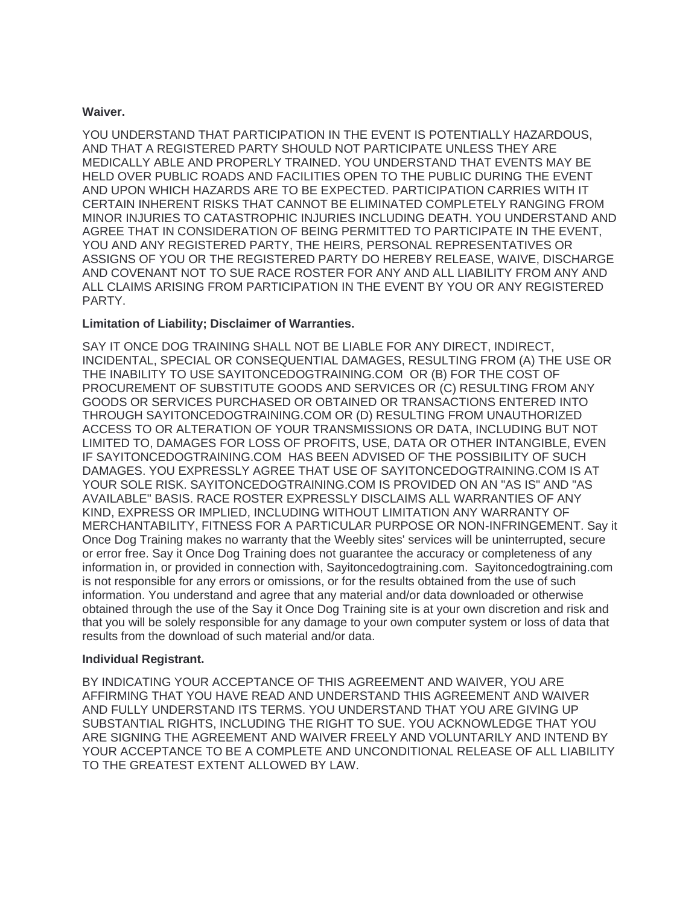#### **Waiver.**

YOU UNDERSTAND THAT PARTICIPATION IN THE EVENT IS POTENTIALLY HAZARDOUS, AND THAT A REGISTERED PARTY SHOULD NOT PARTICIPATE UNLESS THEY ARE MEDICALLY ABLE AND PROPERLY TRAINED. YOU UNDERSTAND THAT EVENTS MAY BE HELD OVER PUBLIC ROADS AND FACILITIES OPEN TO THE PUBLIC DURING THE EVENT AND UPON WHICH HAZARDS ARE TO BE EXPECTED. PARTICIPATION CARRIES WITH IT CERTAIN INHERENT RISKS THAT CANNOT BE ELIMINATED COMPLETELY RANGING FROM MINOR INJURIES TO CATASTROPHIC INJURIES INCLUDING DEATH. YOU UNDERSTAND AND AGREE THAT IN CONSIDERATION OF BEING PERMITTED TO PARTICIPATE IN THE EVENT, YOU AND ANY REGISTERED PARTY, THE HEIRS, PERSONAL REPRESENTATIVES OR ASSIGNS OF YOU OR THE REGISTERED PARTY DO HEREBY RELEASE, WAIVE, DISCHARGE AND COVENANT NOT TO SUE RACE ROSTER FOR ANY AND ALL LIABILITY FROM ANY AND ALL CLAIMS ARISING FROM PARTICIPATION IN THE EVENT BY YOU OR ANY REGISTERED PARTY.

# **Limitation of Liability; Disclaimer of Warranties.**

SAY IT ONCE DOG TRAINING SHALL NOT BE LIABLE FOR ANY DIRECT, INDIRECT, INCIDENTAL, SPECIAL OR CONSEQUENTIAL DAMAGES, RESULTING FROM (A) THE USE OR THE INABILITY TO USE SAYITONCEDOGTRAINING.COM OR (B) FOR THE COST OF PROCUREMENT OF SUBSTITUTE GOODS AND SERVICES OR (C) RESULTING FROM ANY GOODS OR SERVICES PURCHASED OR OBTAINED OR TRANSACTIONS ENTERED INTO THROUGH SAYITONCEDOGTRAINING.COM OR (D) RESULTING FROM UNAUTHORIZED ACCESS TO OR ALTERATION OF YOUR TRANSMISSIONS OR DATA, INCLUDING BUT NOT LIMITED TO, DAMAGES FOR LOSS OF PROFITS, USE, DATA OR OTHER INTANGIBLE, EVEN IF SAYITONCEDOGTRAINING.COM HAS BEEN ADVISED OF THE POSSIBILITY OF SUCH DAMAGES. YOU EXPRESSLY AGREE THAT USE OF SAYITONCEDOGTRAINING.COM IS AT YOUR SOLE RISK. SAYITONCEDOGTRAINING.COM IS PROVIDED ON AN "AS IS" AND "AS AVAILABLE" BASIS. RACE ROSTER EXPRESSLY DISCLAIMS ALL WARRANTIES OF ANY KIND, EXPRESS OR IMPLIED, INCLUDING WITHOUT LIMITATION ANY WARRANTY OF MERCHANTABILITY, FITNESS FOR A PARTICULAR PURPOSE OR NON-INFRINGEMENT. Say it Once Dog Training makes no warranty that the Weebly sites' services will be uninterrupted, secure or error free. Say it Once Dog Training does not guarantee the accuracy or completeness of any information in, or provided in connection with, Sayitoncedogtraining.com. Sayitoncedogtraining.com is not responsible for any errors or omissions, or for the results obtained from the use of such information. You understand and agree that any material and/or data downloaded or otherwise obtained through the use of the Say it Once Dog Training site is at your own discretion and risk and that you will be solely responsible for any damage to your own computer system or loss of data that results from the download of such material and/or data.

# **Individual Registrant.**

BY INDICATING YOUR ACCEPTANCE OF THIS AGREEMENT AND WAIVER, YOU ARE AFFIRMING THAT YOU HAVE READ AND UNDERSTAND THIS AGREEMENT AND WAIVER AND FULLY UNDERSTAND ITS TERMS. YOU UNDERSTAND THAT YOU ARE GIVING UP SUBSTANTIAL RIGHTS, INCLUDING THE RIGHT TO SUE. YOU ACKNOWLEDGE THAT YOU ARE SIGNING THE AGREEMENT AND WAIVER FREELY AND VOLUNTARILY AND INTEND BY YOUR ACCEPTANCE TO BE A COMPLETE AND UNCONDITIONAL RELEASE OF ALL LIABILITY TO THE GREATEST EXTENT ALLOWED BY LAW.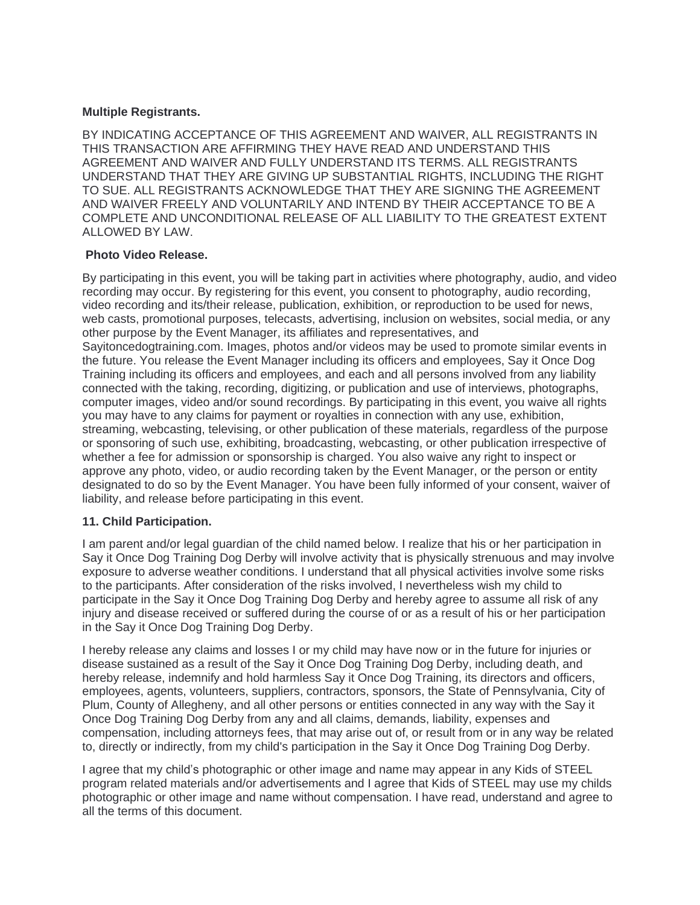## **Multiple Registrants.**

BY INDICATING ACCEPTANCE OF THIS AGREEMENT AND WAIVER, ALL REGISTRANTS IN THIS TRANSACTION ARE AFFIRMING THEY HAVE READ AND UNDERSTAND THIS AGREEMENT AND WAIVER AND FULLY UNDERSTAND ITS TERMS. ALL REGISTRANTS UNDERSTAND THAT THEY ARE GIVING UP SUBSTANTIAL RIGHTS, INCLUDING THE RIGHT TO SUE. ALL REGISTRANTS ACKNOWLEDGE THAT THEY ARE SIGNING THE AGREEMENT AND WAIVER FREELY AND VOLUNTARILY AND INTEND BY THEIR ACCEPTANCE TO BE A COMPLETE AND UNCONDITIONAL RELEASE OF ALL LIABILITY TO THE GREATEST EXTENT ALLOWED BY LAW.

#### **Photo Video Release.**

By participating in this event, you will be taking part in activities where photography, audio, and video recording may occur. By registering for this event, you consent to photography, audio recording, video recording and its/their release, publication, exhibition, or reproduction to be used for news, web casts, promotional purposes, telecasts, advertising, inclusion on websites, social media, or any other purpose by the Event Manager, its affiliates and representatives, and Sayitoncedogtraining.com. Images, photos and/or videos may be used to promote similar events in the future. You release the Event Manager including its officers and employees, Say it Once Dog Training including its officers and employees, and each and all persons involved from any liability connected with the taking, recording, digitizing, or publication and use of interviews, photographs, computer images, video and/or sound recordings. By participating in this event, you waive all rights you may have to any claims for payment or royalties in connection with any use, exhibition, streaming, webcasting, televising, or other publication of these materials, regardless of the purpose or sponsoring of such use, exhibiting, broadcasting, webcasting, or other publication irrespective of whether a fee for admission or sponsorship is charged. You also waive any right to inspect or approve any photo, video, or audio recording taken by the Event Manager, or the person or entity designated to do so by the Event Manager. You have been fully informed of your consent, waiver of liability, and release before participating in this event.

# **11. Child Participation.**

I am parent and/or legal guardian of the child named below. I realize that his or her participation in Say it Once Dog Training Dog Derby will involve activity that is physically strenuous and may involve exposure to adverse weather conditions. I understand that all physical activities involve some risks to the participants. After consideration of the risks involved, I nevertheless wish my child to participate in the Say it Once Dog Training Dog Derby and hereby agree to assume all risk of any injury and disease received or suffered during the course of or as a result of his or her participation in the Say it Once Dog Training Dog Derby.

I hereby release any claims and losses I or my child may have now or in the future for injuries or disease sustained as a result of the Say it Once Dog Training Dog Derby, including death, and hereby release, indemnify and hold harmless Say it Once Dog Training, its directors and officers, employees, agents, volunteers, suppliers, contractors, sponsors, the State of Pennsylvania, City of Plum, County of Allegheny, and all other persons or entities connected in any way with the Say it Once Dog Training Dog Derby from any and all claims, demands, liability, expenses and compensation, including attorneys fees, that may arise out of, or result from or in any way be related to, directly or indirectly, from my child's participation in the Say it Once Dog Training Dog Derby.

I agree that my child's photographic or other image and name may appear in any Kids of STEEL program related materials and/or advertisements and I agree that Kids of STEEL may use my childs photographic or other image and name without compensation. I have read, understand and agree to all the terms of this document.